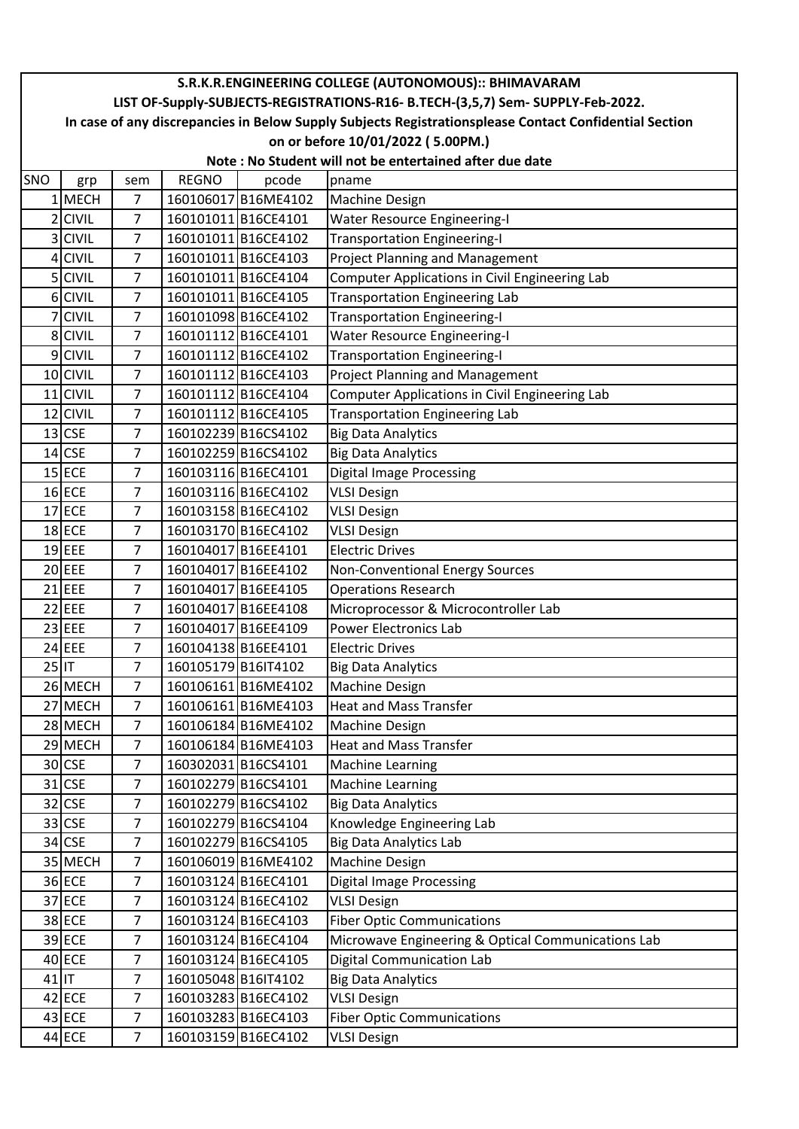## SNO | grp | sem | REGNO | pcode |pname 1 MECH 7 | 160106017 B16ME4102 | Machine Design 2 CIVIL 7 160101011 B16CE4101 Water Resource Engineering-I 3 CIVIL 7 160101011 B16CE4102 Transportation Engineering-I 4 CIVIL 7 160101011 B16CE4103 Project Planning and Management 5 CIVIL 7 160101011 B16CE4104 Computer Applications in Civil Engineering Lab 6 CIVIL  $\vert$  7 | 160101011 B16CE4105 | Transportation Engineering Lab 7 CIVIL | 7 | 160101098 B16CE4102 | Transportation Engineering-I 8 CIVIL 7 | 160101112 B16CE4101 | Water Resource Engineering-I 9 CIVIL | 7 | 160101112 B16CE4102 | Transportation Engineering-I 10 CIVIL 7 160101112 B16CE4103 Project Planning and Management 11 CIVIL | 7 | 160101112 B16CE4104 | Computer Applications in Civil Engineering Lab 12 CIVIL | 7 | 160101112 B16CE4105 | Transportation Engineering Lab 13 CSE | 7 | 160102239 B16CS4102 | Big Data Analytics 14 CSE | 7 | 160102259 B16CS4102 | Big Data Analytics 15 ECE 7 160103116 B16EC4101 Digital Image Processing 16 ECE 7 160103116 B16EC4102 VLSI Design 17 ECE | 7 | 160103158 B16EC4102 | VLSI Design 18 ECE | 7 | 160103170 B16EC4102 | VLSI Design 19 EEE 7 160104017 B16EE4101 Electric Drives 20 EEE 7 160104017 B16EE4102 Non-Conventional Energy Sources 21 **EEE** 7 160104017 B16EE4105 Operations Research 22 EEE 7 160104017 B16EE4108 Microprocessor & Microcontroller Lab 23 EEE 7 160104017 B16EE4109 Power Electronics Lab 24 EEE 7 160104138 B16EE4101 Electric Drives 25 IT 7 | 160105179 B16IT4102 | Big Data Analytics 26 MECH 7 | 160106161 B16ME4102 | Machine Design 27 MECH 7 160106161 B16ME4103 Heat and Mass Transfer 28 MECH 7 | 160106184 B16ME4102 | Machine Design 29 MECH 7 160106184 B16ME4103 Heat and Mass Transfer 30 CSE 7 160302031 B16CS4101 Machine Learning 31 CSE 7 160102279 B16CS4101 Machine Learning 32 CSE 7 160102279 B16CS4102 Big Data Analytics 33 CSE | 7 | 160102279 B16CS4104 | Knowledge Engineering Lab 34 CSE 7 160102279 B16CS4105 Big Data Analytics Lab 35 MECH 7 | 160106019 B16ME4102 | Machine Design 36 ECE 7 160103124 B16EC4101 Digital Image Processing 37 ECE 7 160103124 B16EC4102 VLSI Design 38 ECE 7 160103124 B16EC4103 Fiber Optic Communications 39 ECE 7 160103124 B16EC4104 Microwave Engineering & Optical Communications Lab 40 ECE 7 160103124 B16EC4105 Digital Communication Lab 41 IT | 7 | 160105048 | B16IT4102 | Big Data Analytics 42 ECE 7 160103283 B16EC4102 VLSI Design 43 ECE 7 160103283 B16EC4103 Fiber Optic Communications 44 ECE | 7 | 160103159 B16EC4102 | VLSI Design **S.R.K.R.ENGINEERING COLLEGE (AUTONOMOUS):: BHIMAVARAM LIST OF-Supply-SUBJECTS-REGISTRATIONS-R16- B.TECH-(3,5,7) Sem- SUPPLY-Feb-2022. In case of any discrepancies in Below Supply Subjects Registrationsplease Contact Confidential Section on or before 10/01/2022 ( 5.00PM.) Note : No Student will not be entertained after due date**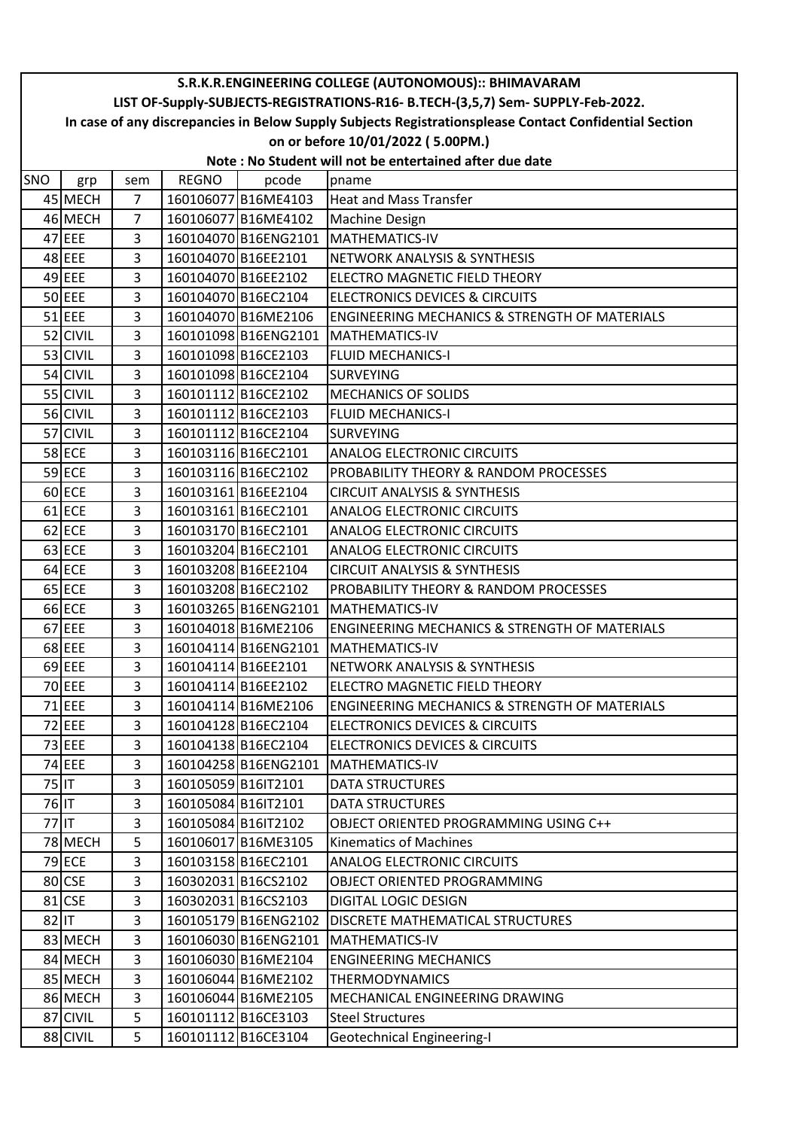| LIST OF-Supply-SUBJECTS-REGISTRATIONS-R16- B.TECH-(3,5,7) Sem- SUPPLY-Feb-2022.<br>In case of any discrepancies in Below Supply Subjects Registrationsplease Contact Confidential Section<br>on or before 10/01/2022 (5.00PM.)<br>Note: No Student will not be entertained after due date<br><b>REGNO</b><br>SNO<br>pcode<br>pname<br>grp<br>sem<br>45 MECH<br>$\overline{7}$<br>160106077 B16ME4103<br><b>Heat and Mass Transfer</b><br>$\overline{7}$<br>46 MECH<br>160106077 B16ME4102<br><b>Machine Design</b><br>47 EEE<br>3<br>160104070 B16ENG2101   MATHEMATICS-IV<br>48 EEE<br>3<br><b>INETWORK ANALYSIS &amp; SYNTHESIS</b><br>160104070B16EE2101<br>49 EEE<br>3<br>160104070B16EE2102<br>ELECTRO MAGNETIC FIELD THEORY<br>$50$ EEE<br>3<br>160104070 B16EC2104<br><b>ELECTRONICS DEVICES &amp; CIRCUITS</b><br>$51$ EEE<br>3<br>160104070 B16ME2106<br><b>ENGINEERING MECHANICS &amp; STRENGTH OF MATERIALS</b><br>52 CIVIL<br>3<br>160101098B16ENG2101<br>MATHEMATICS-IV<br>53 CIVIL<br>$\overline{3}$<br>160101098B16CE2103<br><b>FLUID MECHANICS-I</b><br>54 CIVIL<br>3<br>160101098B16CE2104<br><b>SURVEYING</b><br>55 CIVIL<br>3<br>160101112B16CE2102<br><b>MECHANICS OF SOLIDS</b><br>56 CIVIL<br>3<br>160101112B16CE2103<br><b>FLUID MECHANICS-I</b><br>57 CIVIL<br>3<br>160101112B16CE2104<br><b>SURVEYING</b><br><b>58 ECE</b><br>3<br>160103116B16EC2101<br><b>ANALOG ELECTRONIC CIRCUITS</b><br>59 ECE<br>3<br>160103116B16EC2102<br>PROBABILITY THEORY & RANDOM PROCESSES<br>60 ECE<br>3<br>160103161 B16EE2104<br><b>CIRCUIT ANALYSIS &amp; SYNTHESIS</b><br>61 ECE<br>3<br>160103161B16EC2101<br><b>ANALOG ELECTRONIC CIRCUITS</b><br>62 ECE<br>3<br>160103170 B16EC2101<br><b>ANALOG ELECTRONIC CIRCUITS</b><br>63 ECE<br>3<br>160103204 B16EC2101<br><b>ANALOG ELECTRONIC CIRCUITS</b><br>64 ECE<br>160103208 B16EE2104<br>3<br><b>CIRCUIT ANALYSIS &amp; SYNTHESIS</b><br>$65$ ECE<br>3<br>160103208 B16EC2102<br>PROBABILITY THEORY & RANDOM PROCESSES<br>66 ECE<br>3<br>160103265 B16ENG2101<br>MATHEMATICS-IV<br>67 EEE<br>3<br>160104018B16ME2106<br><b>ENGINEERING MECHANICS &amp; STRENGTH OF MATERIALS</b><br>68 EEE<br>3<br>160104114 B16ENG2101<br><b>MATHEMATICS-IV</b><br>69 EEE<br>3<br>160104114B16EE2101<br>NETWORK ANALYSIS & SYNTHESIS<br>70 EEE<br>3<br>160104114B16EE2102<br>ELECTRO MAGNETIC FIELD THEORY<br>$71$ EEE<br>3<br>160104114 B16ME2106<br><b>ENGINEERING MECHANICS &amp; STRENGTH OF MATERIALS</b><br>72 EEE<br>3<br>160104128B16EC2104<br><b>ELECTRONICS DEVICES &amp; CIRCUITS</b><br>73 EEE<br>3<br>160104138B16EC2104<br><b>ELECTRONICS DEVICES &amp; CIRCUITS</b><br>74 EEE<br>160104258 B16ENG2101 | S.R.K.R.ENGINEERING COLLEGE (AUTONOMOUS):: BHIMAVARAM |  |   |  |  |                |  |  |
|---------------------------------------------------------------------------------------------------------------------------------------------------------------------------------------------------------------------------------------------------------------------------------------------------------------------------------------------------------------------------------------------------------------------------------------------------------------------------------------------------------------------------------------------------------------------------------------------------------------------------------------------------------------------------------------------------------------------------------------------------------------------------------------------------------------------------------------------------------------------------------------------------------------------------------------------------------------------------------------------------------------------------------------------------------------------------------------------------------------------------------------------------------------------------------------------------------------------------------------------------------------------------------------------------------------------------------------------------------------------------------------------------------------------------------------------------------------------------------------------------------------------------------------------------------------------------------------------------------------------------------------------------------------------------------------------------------------------------------------------------------------------------------------------------------------------------------------------------------------------------------------------------------------------------------------------------------------------------------------------------------------------------------------------------------------------------------------------------------------------------------------------------------------------------------------------------------------------------------------------------------------------------------------------------------------------------------------------------------------------------------------------------------------------------------------------------------------------------------------------------------------------------------------------------------------------------------------------------------------------------------------------------------------------|-------------------------------------------------------|--|---|--|--|----------------|--|--|
|                                                                                                                                                                                                                                                                                                                                                                                                                                                                                                                                                                                                                                                                                                                                                                                                                                                                                                                                                                                                                                                                                                                                                                                                                                                                                                                                                                                                                                                                                                                                                                                                                                                                                                                                                                                                                                                                                                                                                                                                                                                                                                                                                                                                                                                                                                                                                                                                                                                                                                                                                                                                                                                                     |                                                       |  |   |  |  |                |  |  |
|                                                                                                                                                                                                                                                                                                                                                                                                                                                                                                                                                                                                                                                                                                                                                                                                                                                                                                                                                                                                                                                                                                                                                                                                                                                                                                                                                                                                                                                                                                                                                                                                                                                                                                                                                                                                                                                                                                                                                                                                                                                                                                                                                                                                                                                                                                                                                                                                                                                                                                                                                                                                                                                                     |                                                       |  |   |  |  |                |  |  |
|                                                                                                                                                                                                                                                                                                                                                                                                                                                                                                                                                                                                                                                                                                                                                                                                                                                                                                                                                                                                                                                                                                                                                                                                                                                                                                                                                                                                                                                                                                                                                                                                                                                                                                                                                                                                                                                                                                                                                                                                                                                                                                                                                                                                                                                                                                                                                                                                                                                                                                                                                                                                                                                                     |                                                       |  |   |  |  |                |  |  |
|                                                                                                                                                                                                                                                                                                                                                                                                                                                                                                                                                                                                                                                                                                                                                                                                                                                                                                                                                                                                                                                                                                                                                                                                                                                                                                                                                                                                                                                                                                                                                                                                                                                                                                                                                                                                                                                                                                                                                                                                                                                                                                                                                                                                                                                                                                                                                                                                                                                                                                                                                                                                                                                                     |                                                       |  |   |  |  |                |  |  |
|                                                                                                                                                                                                                                                                                                                                                                                                                                                                                                                                                                                                                                                                                                                                                                                                                                                                                                                                                                                                                                                                                                                                                                                                                                                                                                                                                                                                                                                                                                                                                                                                                                                                                                                                                                                                                                                                                                                                                                                                                                                                                                                                                                                                                                                                                                                                                                                                                                                                                                                                                                                                                                                                     |                                                       |  |   |  |  |                |  |  |
|                                                                                                                                                                                                                                                                                                                                                                                                                                                                                                                                                                                                                                                                                                                                                                                                                                                                                                                                                                                                                                                                                                                                                                                                                                                                                                                                                                                                                                                                                                                                                                                                                                                                                                                                                                                                                                                                                                                                                                                                                                                                                                                                                                                                                                                                                                                                                                                                                                                                                                                                                                                                                                                                     |                                                       |  |   |  |  |                |  |  |
|                                                                                                                                                                                                                                                                                                                                                                                                                                                                                                                                                                                                                                                                                                                                                                                                                                                                                                                                                                                                                                                                                                                                                                                                                                                                                                                                                                                                                                                                                                                                                                                                                                                                                                                                                                                                                                                                                                                                                                                                                                                                                                                                                                                                                                                                                                                                                                                                                                                                                                                                                                                                                                                                     |                                                       |  |   |  |  |                |  |  |
|                                                                                                                                                                                                                                                                                                                                                                                                                                                                                                                                                                                                                                                                                                                                                                                                                                                                                                                                                                                                                                                                                                                                                                                                                                                                                                                                                                                                                                                                                                                                                                                                                                                                                                                                                                                                                                                                                                                                                                                                                                                                                                                                                                                                                                                                                                                                                                                                                                                                                                                                                                                                                                                                     |                                                       |  |   |  |  |                |  |  |
|                                                                                                                                                                                                                                                                                                                                                                                                                                                                                                                                                                                                                                                                                                                                                                                                                                                                                                                                                                                                                                                                                                                                                                                                                                                                                                                                                                                                                                                                                                                                                                                                                                                                                                                                                                                                                                                                                                                                                                                                                                                                                                                                                                                                                                                                                                                                                                                                                                                                                                                                                                                                                                                                     |                                                       |  |   |  |  |                |  |  |
|                                                                                                                                                                                                                                                                                                                                                                                                                                                                                                                                                                                                                                                                                                                                                                                                                                                                                                                                                                                                                                                                                                                                                                                                                                                                                                                                                                                                                                                                                                                                                                                                                                                                                                                                                                                                                                                                                                                                                                                                                                                                                                                                                                                                                                                                                                                                                                                                                                                                                                                                                                                                                                                                     |                                                       |  |   |  |  |                |  |  |
|                                                                                                                                                                                                                                                                                                                                                                                                                                                                                                                                                                                                                                                                                                                                                                                                                                                                                                                                                                                                                                                                                                                                                                                                                                                                                                                                                                                                                                                                                                                                                                                                                                                                                                                                                                                                                                                                                                                                                                                                                                                                                                                                                                                                                                                                                                                                                                                                                                                                                                                                                                                                                                                                     |                                                       |  |   |  |  |                |  |  |
|                                                                                                                                                                                                                                                                                                                                                                                                                                                                                                                                                                                                                                                                                                                                                                                                                                                                                                                                                                                                                                                                                                                                                                                                                                                                                                                                                                                                                                                                                                                                                                                                                                                                                                                                                                                                                                                                                                                                                                                                                                                                                                                                                                                                                                                                                                                                                                                                                                                                                                                                                                                                                                                                     |                                                       |  |   |  |  |                |  |  |
|                                                                                                                                                                                                                                                                                                                                                                                                                                                                                                                                                                                                                                                                                                                                                                                                                                                                                                                                                                                                                                                                                                                                                                                                                                                                                                                                                                                                                                                                                                                                                                                                                                                                                                                                                                                                                                                                                                                                                                                                                                                                                                                                                                                                                                                                                                                                                                                                                                                                                                                                                                                                                                                                     |                                                       |  |   |  |  |                |  |  |
|                                                                                                                                                                                                                                                                                                                                                                                                                                                                                                                                                                                                                                                                                                                                                                                                                                                                                                                                                                                                                                                                                                                                                                                                                                                                                                                                                                                                                                                                                                                                                                                                                                                                                                                                                                                                                                                                                                                                                                                                                                                                                                                                                                                                                                                                                                                                                                                                                                                                                                                                                                                                                                                                     |                                                       |  |   |  |  |                |  |  |
|                                                                                                                                                                                                                                                                                                                                                                                                                                                                                                                                                                                                                                                                                                                                                                                                                                                                                                                                                                                                                                                                                                                                                                                                                                                                                                                                                                                                                                                                                                                                                                                                                                                                                                                                                                                                                                                                                                                                                                                                                                                                                                                                                                                                                                                                                                                                                                                                                                                                                                                                                                                                                                                                     |                                                       |  |   |  |  |                |  |  |
|                                                                                                                                                                                                                                                                                                                                                                                                                                                                                                                                                                                                                                                                                                                                                                                                                                                                                                                                                                                                                                                                                                                                                                                                                                                                                                                                                                                                                                                                                                                                                                                                                                                                                                                                                                                                                                                                                                                                                                                                                                                                                                                                                                                                                                                                                                                                                                                                                                                                                                                                                                                                                                                                     |                                                       |  |   |  |  |                |  |  |
|                                                                                                                                                                                                                                                                                                                                                                                                                                                                                                                                                                                                                                                                                                                                                                                                                                                                                                                                                                                                                                                                                                                                                                                                                                                                                                                                                                                                                                                                                                                                                                                                                                                                                                                                                                                                                                                                                                                                                                                                                                                                                                                                                                                                                                                                                                                                                                                                                                                                                                                                                                                                                                                                     |                                                       |  |   |  |  |                |  |  |
|                                                                                                                                                                                                                                                                                                                                                                                                                                                                                                                                                                                                                                                                                                                                                                                                                                                                                                                                                                                                                                                                                                                                                                                                                                                                                                                                                                                                                                                                                                                                                                                                                                                                                                                                                                                                                                                                                                                                                                                                                                                                                                                                                                                                                                                                                                                                                                                                                                                                                                                                                                                                                                                                     |                                                       |  |   |  |  |                |  |  |
|                                                                                                                                                                                                                                                                                                                                                                                                                                                                                                                                                                                                                                                                                                                                                                                                                                                                                                                                                                                                                                                                                                                                                                                                                                                                                                                                                                                                                                                                                                                                                                                                                                                                                                                                                                                                                                                                                                                                                                                                                                                                                                                                                                                                                                                                                                                                                                                                                                                                                                                                                                                                                                                                     |                                                       |  |   |  |  |                |  |  |
|                                                                                                                                                                                                                                                                                                                                                                                                                                                                                                                                                                                                                                                                                                                                                                                                                                                                                                                                                                                                                                                                                                                                                                                                                                                                                                                                                                                                                                                                                                                                                                                                                                                                                                                                                                                                                                                                                                                                                                                                                                                                                                                                                                                                                                                                                                                                                                                                                                                                                                                                                                                                                                                                     |                                                       |  |   |  |  |                |  |  |
|                                                                                                                                                                                                                                                                                                                                                                                                                                                                                                                                                                                                                                                                                                                                                                                                                                                                                                                                                                                                                                                                                                                                                                                                                                                                                                                                                                                                                                                                                                                                                                                                                                                                                                                                                                                                                                                                                                                                                                                                                                                                                                                                                                                                                                                                                                                                                                                                                                                                                                                                                                                                                                                                     |                                                       |  |   |  |  |                |  |  |
|                                                                                                                                                                                                                                                                                                                                                                                                                                                                                                                                                                                                                                                                                                                                                                                                                                                                                                                                                                                                                                                                                                                                                                                                                                                                                                                                                                                                                                                                                                                                                                                                                                                                                                                                                                                                                                                                                                                                                                                                                                                                                                                                                                                                                                                                                                                                                                                                                                                                                                                                                                                                                                                                     |                                                       |  |   |  |  |                |  |  |
|                                                                                                                                                                                                                                                                                                                                                                                                                                                                                                                                                                                                                                                                                                                                                                                                                                                                                                                                                                                                                                                                                                                                                                                                                                                                                                                                                                                                                                                                                                                                                                                                                                                                                                                                                                                                                                                                                                                                                                                                                                                                                                                                                                                                                                                                                                                                                                                                                                                                                                                                                                                                                                                                     |                                                       |  |   |  |  |                |  |  |
|                                                                                                                                                                                                                                                                                                                                                                                                                                                                                                                                                                                                                                                                                                                                                                                                                                                                                                                                                                                                                                                                                                                                                                                                                                                                                                                                                                                                                                                                                                                                                                                                                                                                                                                                                                                                                                                                                                                                                                                                                                                                                                                                                                                                                                                                                                                                                                                                                                                                                                                                                                                                                                                                     |                                                       |  |   |  |  |                |  |  |
|                                                                                                                                                                                                                                                                                                                                                                                                                                                                                                                                                                                                                                                                                                                                                                                                                                                                                                                                                                                                                                                                                                                                                                                                                                                                                                                                                                                                                                                                                                                                                                                                                                                                                                                                                                                                                                                                                                                                                                                                                                                                                                                                                                                                                                                                                                                                                                                                                                                                                                                                                                                                                                                                     |                                                       |  |   |  |  |                |  |  |
|                                                                                                                                                                                                                                                                                                                                                                                                                                                                                                                                                                                                                                                                                                                                                                                                                                                                                                                                                                                                                                                                                                                                                                                                                                                                                                                                                                                                                                                                                                                                                                                                                                                                                                                                                                                                                                                                                                                                                                                                                                                                                                                                                                                                                                                                                                                                                                                                                                                                                                                                                                                                                                                                     |                                                       |  |   |  |  |                |  |  |
|                                                                                                                                                                                                                                                                                                                                                                                                                                                                                                                                                                                                                                                                                                                                                                                                                                                                                                                                                                                                                                                                                                                                                                                                                                                                                                                                                                                                                                                                                                                                                                                                                                                                                                                                                                                                                                                                                                                                                                                                                                                                                                                                                                                                                                                                                                                                                                                                                                                                                                                                                                                                                                                                     |                                                       |  |   |  |  |                |  |  |
|                                                                                                                                                                                                                                                                                                                                                                                                                                                                                                                                                                                                                                                                                                                                                                                                                                                                                                                                                                                                                                                                                                                                                                                                                                                                                                                                                                                                                                                                                                                                                                                                                                                                                                                                                                                                                                                                                                                                                                                                                                                                                                                                                                                                                                                                                                                                                                                                                                                                                                                                                                                                                                                                     |                                                       |  |   |  |  |                |  |  |
|                                                                                                                                                                                                                                                                                                                                                                                                                                                                                                                                                                                                                                                                                                                                                                                                                                                                                                                                                                                                                                                                                                                                                                                                                                                                                                                                                                                                                                                                                                                                                                                                                                                                                                                                                                                                                                                                                                                                                                                                                                                                                                                                                                                                                                                                                                                                                                                                                                                                                                                                                                                                                                                                     |                                                       |  |   |  |  |                |  |  |
|                                                                                                                                                                                                                                                                                                                                                                                                                                                                                                                                                                                                                                                                                                                                                                                                                                                                                                                                                                                                                                                                                                                                                                                                                                                                                                                                                                                                                                                                                                                                                                                                                                                                                                                                                                                                                                                                                                                                                                                                                                                                                                                                                                                                                                                                                                                                                                                                                                                                                                                                                                                                                                                                     |                                                       |  |   |  |  |                |  |  |
|                                                                                                                                                                                                                                                                                                                                                                                                                                                                                                                                                                                                                                                                                                                                                                                                                                                                                                                                                                                                                                                                                                                                                                                                                                                                                                                                                                                                                                                                                                                                                                                                                                                                                                                                                                                                                                                                                                                                                                                                                                                                                                                                                                                                                                                                                                                                                                                                                                                                                                                                                                                                                                                                     |                                                       |  |   |  |  |                |  |  |
|                                                                                                                                                                                                                                                                                                                                                                                                                                                                                                                                                                                                                                                                                                                                                                                                                                                                                                                                                                                                                                                                                                                                                                                                                                                                                                                                                                                                                                                                                                                                                                                                                                                                                                                                                                                                                                                                                                                                                                                                                                                                                                                                                                                                                                                                                                                                                                                                                                                                                                                                                                                                                                                                     |                                                       |  |   |  |  |                |  |  |
|                                                                                                                                                                                                                                                                                                                                                                                                                                                                                                                                                                                                                                                                                                                                                                                                                                                                                                                                                                                                                                                                                                                                                                                                                                                                                                                                                                                                                                                                                                                                                                                                                                                                                                                                                                                                                                                                                                                                                                                                                                                                                                                                                                                                                                                                                                                                                                                                                                                                                                                                                                                                                                                                     |                                                       |  |   |  |  |                |  |  |
|                                                                                                                                                                                                                                                                                                                                                                                                                                                                                                                                                                                                                                                                                                                                                                                                                                                                                                                                                                                                                                                                                                                                                                                                                                                                                                                                                                                                                                                                                                                                                                                                                                                                                                                                                                                                                                                                                                                                                                                                                                                                                                                                                                                                                                                                                                                                                                                                                                                                                                                                                                                                                                                                     |                                                       |  |   |  |  |                |  |  |
|                                                                                                                                                                                                                                                                                                                                                                                                                                                                                                                                                                                                                                                                                                                                                                                                                                                                                                                                                                                                                                                                                                                                                                                                                                                                                                                                                                                                                                                                                                                                                                                                                                                                                                                                                                                                                                                                                                                                                                                                                                                                                                                                                                                                                                                                                                                                                                                                                                                                                                                                                                                                                                                                     |                                                       |  | 3 |  |  | MATHEMATICS-IV |  |  |
| 75 IT<br>3<br>160105059 B16IT2101<br><b>DATA STRUCTURES</b>                                                                                                                                                                                                                                                                                                                                                                                                                                                                                                                                                                                                                                                                                                                                                                                                                                                                                                                                                                                                                                                                                                                                                                                                                                                                                                                                                                                                                                                                                                                                                                                                                                                                                                                                                                                                                                                                                                                                                                                                                                                                                                                                                                                                                                                                                                                                                                                                                                                                                                                                                                                                         |                                                       |  |   |  |  |                |  |  |
| 76 IT<br>3<br>160105084B16IT2101<br><b>DATA STRUCTURES</b>                                                                                                                                                                                                                                                                                                                                                                                                                                                                                                                                                                                                                                                                                                                                                                                                                                                                                                                                                                                                                                                                                                                                                                                                                                                                                                                                                                                                                                                                                                                                                                                                                                                                                                                                                                                                                                                                                                                                                                                                                                                                                                                                                                                                                                                                                                                                                                                                                                                                                                                                                                                                          |                                                       |  |   |  |  |                |  |  |
| 77<br>3<br>160105084 B16JT2102<br>OBJECT ORIENTED PROGRAMMING USING C++                                                                                                                                                                                                                                                                                                                                                                                                                                                                                                                                                                                                                                                                                                                                                                                                                                                                                                                                                                                                                                                                                                                                                                                                                                                                                                                                                                                                                                                                                                                                                                                                                                                                                                                                                                                                                                                                                                                                                                                                                                                                                                                                                                                                                                                                                                                                                                                                                                                                                                                                                                                             |                                                       |  |   |  |  |                |  |  |
| 78 MECH<br>5<br>160106017 B16ME3105<br><b>Kinematics of Machines</b>                                                                                                                                                                                                                                                                                                                                                                                                                                                                                                                                                                                                                                                                                                                                                                                                                                                                                                                                                                                                                                                                                                                                                                                                                                                                                                                                                                                                                                                                                                                                                                                                                                                                                                                                                                                                                                                                                                                                                                                                                                                                                                                                                                                                                                                                                                                                                                                                                                                                                                                                                                                                |                                                       |  |   |  |  |                |  |  |
| 79 ECE<br>3<br>160103158 B16EC2101<br><b>ANALOG ELECTRONIC CIRCUITS</b>                                                                                                                                                                                                                                                                                                                                                                                                                                                                                                                                                                                                                                                                                                                                                                                                                                                                                                                                                                                                                                                                                                                                                                                                                                                                                                                                                                                                                                                                                                                                                                                                                                                                                                                                                                                                                                                                                                                                                                                                                                                                                                                                                                                                                                                                                                                                                                                                                                                                                                                                                                                             |                                                       |  |   |  |  |                |  |  |
| 80 CSE<br>3<br>160302031B16CS2102<br>OBJECT ORIENTED PROGRAMMING                                                                                                                                                                                                                                                                                                                                                                                                                                                                                                                                                                                                                                                                                                                                                                                                                                                                                                                                                                                                                                                                                                                                                                                                                                                                                                                                                                                                                                                                                                                                                                                                                                                                                                                                                                                                                                                                                                                                                                                                                                                                                                                                                                                                                                                                                                                                                                                                                                                                                                                                                                                                    |                                                       |  |   |  |  |                |  |  |
| 81 CSE<br>3<br>160302031B16CS2103<br><b>DIGITAL LOGIC DESIGN</b>                                                                                                                                                                                                                                                                                                                                                                                                                                                                                                                                                                                                                                                                                                                                                                                                                                                                                                                                                                                                                                                                                                                                                                                                                                                                                                                                                                                                                                                                                                                                                                                                                                                                                                                                                                                                                                                                                                                                                                                                                                                                                                                                                                                                                                                                                                                                                                                                                                                                                                                                                                                                    |                                                       |  |   |  |  |                |  |  |
| $82$ IT<br>3<br>160105179B16ENG2102<br><b>DISCRETE MATHEMATICAL STRUCTURES</b>                                                                                                                                                                                                                                                                                                                                                                                                                                                                                                                                                                                                                                                                                                                                                                                                                                                                                                                                                                                                                                                                                                                                                                                                                                                                                                                                                                                                                                                                                                                                                                                                                                                                                                                                                                                                                                                                                                                                                                                                                                                                                                                                                                                                                                                                                                                                                                                                                                                                                                                                                                                      |                                                       |  |   |  |  |                |  |  |
| 83 MECH<br>3<br>160106030 B16ENG2101<br>MATHEMATICS-IV                                                                                                                                                                                                                                                                                                                                                                                                                                                                                                                                                                                                                                                                                                                                                                                                                                                                                                                                                                                                                                                                                                                                                                                                                                                                                                                                                                                                                                                                                                                                                                                                                                                                                                                                                                                                                                                                                                                                                                                                                                                                                                                                                                                                                                                                                                                                                                                                                                                                                                                                                                                                              |                                                       |  |   |  |  |                |  |  |
| 84 MECH<br>3<br>160106030 B16ME2104<br><b>ENGINEERING MECHANICS</b>                                                                                                                                                                                                                                                                                                                                                                                                                                                                                                                                                                                                                                                                                                                                                                                                                                                                                                                                                                                                                                                                                                                                                                                                                                                                                                                                                                                                                                                                                                                                                                                                                                                                                                                                                                                                                                                                                                                                                                                                                                                                                                                                                                                                                                                                                                                                                                                                                                                                                                                                                                                                 |                                                       |  |   |  |  |                |  |  |
| 85 MECH<br>3<br>160106044 B16ME2102<br><b>THERMODYNAMICS</b>                                                                                                                                                                                                                                                                                                                                                                                                                                                                                                                                                                                                                                                                                                                                                                                                                                                                                                                                                                                                                                                                                                                                                                                                                                                                                                                                                                                                                                                                                                                                                                                                                                                                                                                                                                                                                                                                                                                                                                                                                                                                                                                                                                                                                                                                                                                                                                                                                                                                                                                                                                                                        |                                                       |  |   |  |  |                |  |  |
| 86 MECH<br>3<br>160106044 B16ME2105<br>MECHANICAL ENGINEERING DRAWING                                                                                                                                                                                                                                                                                                                                                                                                                                                                                                                                                                                                                                                                                                                                                                                                                                                                                                                                                                                                                                                                                                                                                                                                                                                                                                                                                                                                                                                                                                                                                                                                                                                                                                                                                                                                                                                                                                                                                                                                                                                                                                                                                                                                                                                                                                                                                                                                                                                                                                                                                                                               |                                                       |  |   |  |  |                |  |  |
| 5<br>87 CIVIL<br><b>Steel Structures</b><br>160101112 B16CE3103                                                                                                                                                                                                                                                                                                                                                                                                                                                                                                                                                                                                                                                                                                                                                                                                                                                                                                                                                                                                                                                                                                                                                                                                                                                                                                                                                                                                                                                                                                                                                                                                                                                                                                                                                                                                                                                                                                                                                                                                                                                                                                                                                                                                                                                                                                                                                                                                                                                                                                                                                                                                     |                                                       |  |   |  |  |                |  |  |
| 5<br>88 CIVIL<br>160101112B16CE3104<br><b>Geotechnical Engineering-I</b>                                                                                                                                                                                                                                                                                                                                                                                                                                                                                                                                                                                                                                                                                                                                                                                                                                                                                                                                                                                                                                                                                                                                                                                                                                                                                                                                                                                                                                                                                                                                                                                                                                                                                                                                                                                                                                                                                                                                                                                                                                                                                                                                                                                                                                                                                                                                                                                                                                                                                                                                                                                            |                                                       |  |   |  |  |                |  |  |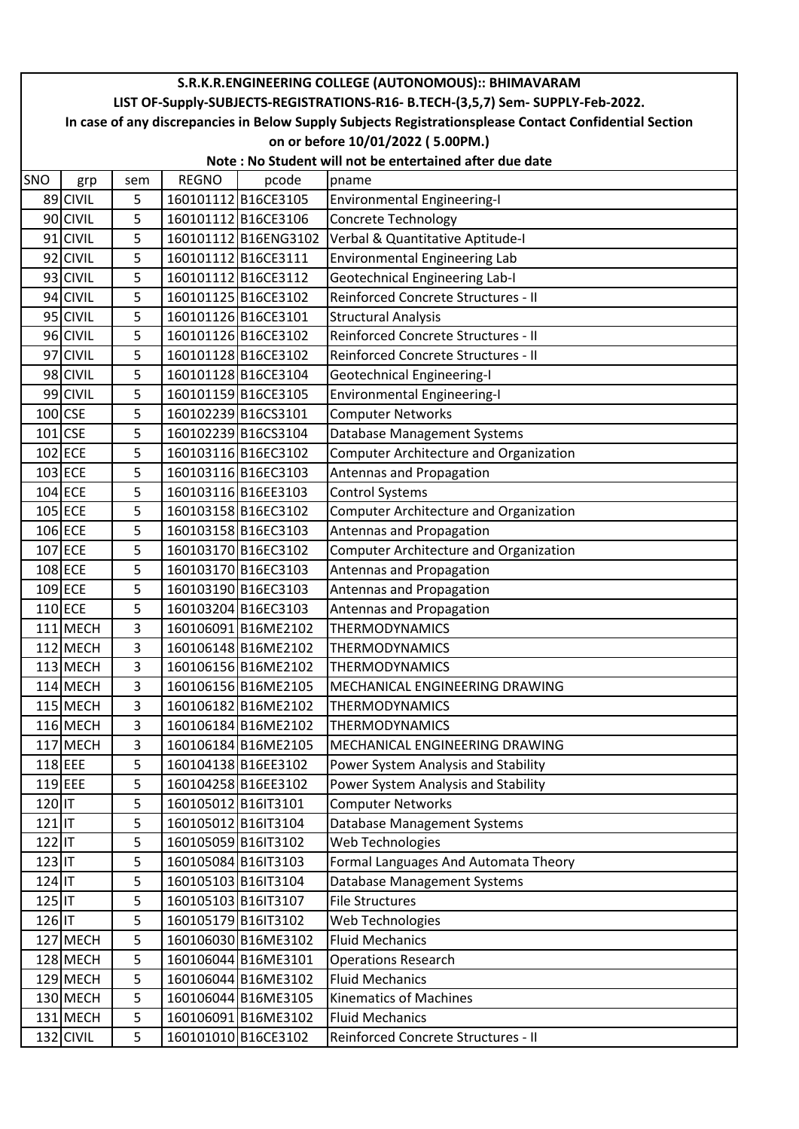|            | S.R.K.R.ENGINEERING COLLEGE (AUTONOMOUS):: BHIMAVARAM                                                  |     |                     |                      |                                                                              |  |  |  |  |
|------------|--------------------------------------------------------------------------------------------------------|-----|---------------------|----------------------|------------------------------------------------------------------------------|--|--|--|--|
|            | LIST OF-Supply-SUBJECTS-REGISTRATIONS-R16- B.TECH-(3,5,7) Sem- SUPPLY-Feb-2022.                        |     |                     |                      |                                                                              |  |  |  |  |
|            | In case of any discrepancies in Below Supply Subjects Registrationsplease Contact Confidential Section |     |                     |                      |                                                                              |  |  |  |  |
|            | on or before 10/01/2022 (5.00PM.)<br>Note: No Student will not be entertained after due date           |     |                     |                      |                                                                              |  |  |  |  |
| <b>SNO</b> |                                                                                                        | sem | <b>REGNO</b>        | pcode                | pname                                                                        |  |  |  |  |
|            | grp<br>89 CIVIL                                                                                        | 5   |                     | 160101112B16CE3105   | <b>Environmental Engineering-I</b>                                           |  |  |  |  |
|            | 90 CIVIL                                                                                               | 5   |                     | 160101112B16CE3106   | Concrete Technology                                                          |  |  |  |  |
|            | 91 CIVIL                                                                                               | 5   |                     | 160101112 B16ENG3102 | Verbal & Quantitative Aptitude-I                                             |  |  |  |  |
|            | 92 CIVIL                                                                                               | 5   |                     | 160101112B16CE3111   | Environmental Engineering Lab                                                |  |  |  |  |
|            | 93 CIVIL                                                                                               | 5   |                     | 160101112 B16CE3112  |                                                                              |  |  |  |  |
|            | 94 CIVIL                                                                                               | 5   |                     | 160101125 B16CE3102  | <b>Geotechnical Engineering Lab-I</b><br>Reinforced Concrete Structures - II |  |  |  |  |
|            | 95 CIVIL                                                                                               | 5   |                     | 160101126 B16CE3101  | <b>Structural Analysis</b>                                                   |  |  |  |  |
|            | 96 CIVIL                                                                                               | 5   |                     | 160101126B16CE3102   | Reinforced Concrete Structures - II                                          |  |  |  |  |
|            | 97 CIVIL                                                                                               | 5   |                     | 160101128 B16CE3102  | Reinforced Concrete Structures - II                                          |  |  |  |  |
|            | 98 CIVIL                                                                                               | 5   |                     | 160101128 B16CE3104  | <b>Geotechnical Engineering-I</b>                                            |  |  |  |  |
|            | 99 CIVIL                                                                                               | 5   |                     | 160101159 B16CE3105  | <b>Environmental Engineering-I</b>                                           |  |  |  |  |
|            | $100$ <sub>CSE</sub>                                                                                   | 5   |                     | 160102239 B16CS3101  | <b>Computer Networks</b>                                                     |  |  |  |  |
|            | $101$ CSE                                                                                              | 5   |                     | 160102239B16CS3104   |                                                                              |  |  |  |  |
|            | $102$ ECE                                                                                              | 5   |                     | 160103116B16EC3102   | Database Management Systems<br><b>Computer Architecture and Organization</b> |  |  |  |  |
|            | 103 ECE                                                                                                | 5   |                     | 160103116B16EC3103   | Antennas and Propagation                                                     |  |  |  |  |
|            | 104 ECE                                                                                                | 5   |                     | 160103116B16EE3103   | <b>Control Systems</b>                                                       |  |  |  |  |
|            | 105 ECE                                                                                                | 5   |                     | 160103158B16EC3102   |                                                                              |  |  |  |  |
|            | 106 ECE                                                                                                | 5   |                     | 160103158B16EC3103   | <b>Computer Architecture and Organization</b>                                |  |  |  |  |
|            | 107 ECE                                                                                                |     |                     |                      | Antennas and Propagation                                                     |  |  |  |  |
|            |                                                                                                        | 5   |                     | 160103170 B16EC3102  | <b>Computer Architecture and Organization</b>                                |  |  |  |  |
|            | 108 ECE                                                                                                | 5   |                     | 160103170 B16EC3103  | Antennas and Propagation                                                     |  |  |  |  |
|            | 109 ECE                                                                                                | 5   |                     | 160103190 B16EC3103  | Antennas and Propagation                                                     |  |  |  |  |
|            | $110$ ECE                                                                                              | 5   |                     | 160103204 B16EC3103  | Antennas and Propagation                                                     |  |  |  |  |
|            | 111 MECH                                                                                               | 3   |                     | 160106091B16ME2102   | <b>THERMODYNAMICS</b>                                                        |  |  |  |  |
|            | 112 MECH                                                                                               | 3   |                     | 160106148 B16ME2102  | <b>THERMODYNAMICS</b>                                                        |  |  |  |  |
|            | 113 MECH                                                                                               | 3   |                     | 160106156 B16ME2102  | <b>THERMODYNAMICS</b>                                                        |  |  |  |  |
|            | $114$ MECH                                                                                             | 3   |                     | 160106156B16ME2105   | MECHANICAL ENGINEERING DRAWING                                               |  |  |  |  |
|            | 115 MECH                                                                                               | 3   |                     | 160106182B16ME2102   | <b>THERMODYNAMICS</b>                                                        |  |  |  |  |
|            | 116 MECH                                                                                               | 3   |                     | 160106184 B16ME2102  | <b>THERMODYNAMICS</b>                                                        |  |  |  |  |
|            | 117 MECH                                                                                               | 3   |                     | 160106184B16ME2105   | MECHANICAL ENGINEERING DRAWING                                               |  |  |  |  |
|            | 118 EEE                                                                                                | 5   |                     | 160104138B16EE3102   | Power System Analysis and Stability                                          |  |  |  |  |
|            | 119 EEE                                                                                                | 5   |                     | 160104258 B16EE3102  | Power System Analysis and Stability                                          |  |  |  |  |
| 120 IT     |                                                                                                        | 5   | 160105012 B16IT3101 |                      | <b>Computer Networks</b>                                                     |  |  |  |  |
| $121$ IT   |                                                                                                        | 5   | 160105012 B16IT3104 |                      | Database Management Systems                                                  |  |  |  |  |
| 122 IT     |                                                                                                        | 5   | 160105059 B16IT3102 |                      | Web Technologies                                                             |  |  |  |  |
| $123$ IT   |                                                                                                        | 5   | 160105084B16IT3103  |                      | Formal Languages And Automata Theory                                         |  |  |  |  |
| 124 IT     |                                                                                                        | 5   | 160105103 B16IT3104 |                      | Database Management Systems                                                  |  |  |  |  |
| 125 IT     |                                                                                                        | 5   | 160105103 B16IT3107 |                      | <b>File Structures</b>                                                       |  |  |  |  |
| 126 IT     |                                                                                                        | 5   | 160105179 B16IT3102 |                      | Web Technologies                                                             |  |  |  |  |
|            | 127 MECH                                                                                               | 5   |                     | 160106030 B16ME3102  | <b>Fluid Mechanics</b>                                                       |  |  |  |  |
|            | 128 MECH                                                                                               | 5   |                     | 160106044 B16ME3101  | <b>Operations Research</b>                                                   |  |  |  |  |
|            | 129 MECH                                                                                               | 5   |                     | 160106044 B16ME3102  | <b>Fluid Mechanics</b>                                                       |  |  |  |  |
|            | 130 MECH                                                                                               | 5   |                     | 160106044 B16ME3105  | <b>Kinematics of Machines</b>                                                |  |  |  |  |
|            | 131 MECH                                                                                               | 5   |                     | 160106091 B16ME3102  | <b>Fluid Mechanics</b>                                                       |  |  |  |  |
|            | 132 CIVIL                                                                                              | 5   |                     | 160101010 B16CE3102  | Reinforced Concrete Structures - II                                          |  |  |  |  |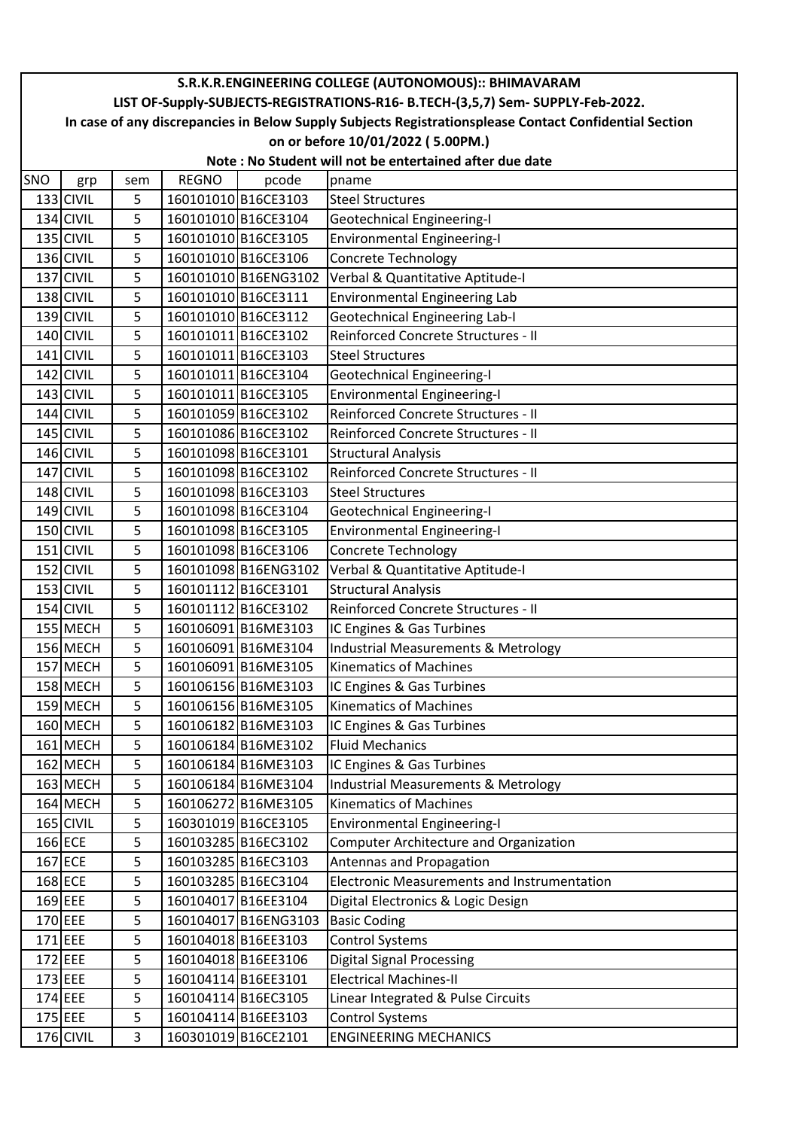## SNO | grp | sem | REGNO | pcode |pname **S.R.K.R.ENGINEERING COLLEGE (AUTONOMOUS):: BHIMAVARAM LIST OF-Supply-SUBJECTS-REGISTRATIONS-R16- B.TECH-(3,5,7) Sem- SUPPLY-Feb-2022. In case of any discrepancies in Below Supply Subjects Registrationsplease Contact Confidential Section on or before 10/01/2022 ( 5.00PM.) Note : No Student will not be entertained after due date** 133 CIVIL | 5 | 160101010 B16CE3103 | Steel Structures 134 CIVIL 5 160101010 B16CE3104 Geotechnical Engineering-I 135 CIVIL 5 160101010 B16CE3105 Environmental Engineering-I 136 CIVIL | 5 | 160101010 B16CE3106 | Concrete Technology 137 CIVIL 5 160101010 B16ENG3102 Verbal & Quantitative Aptitude-I 138 CIVIL | 5 | 160101010 B16CE3111 | Environmental Engineering Lab 139 CIVIL 5 160101010 B16CE3112 Geotechnical Engineering Lab-I 140 CIVIL 5 160101011 B16CE3102 Reinforced Concrete Structures - II 141 CIVIL | 5 | 160101011 B16CE3103 | Steel Structures 142 CIVIL 5 160101011 B16CE3104 Geotechnical Engineering-I 143 CIVIL 5 160101011 B16CE3105 Environmental Engineering-I 144 CIVIL 5 160101059 B16CE3102 Reinforced Concrete Structures - II 145 CIVIL 5 160101086 B16CE3102 Reinforced Concrete Structures - II 146 CIVIL | 5 | 160101098 B16CE3101 | Structural Analysis 147 CIVIL 5 160101098 B16CE3102 Reinforced Concrete Structures - II 148 CIVIL | 5 | 160101098 B16CE3103 | Steel Structures 149 CIVIL 5 160101098 B16CE3104 Geotechnical Engineering-I 150 CIVIL 5 160101098 B16CE3105 Environmental Engineering-I 151 CIVIL | 5 | 160101098 B16CE3106 | Concrete Technology 152 CIVIL 5 160101098 B16ENG3102 Verbal & Quantitative Aptitude-I 153 CIVIL | 5 | 160101112 B16CE3101 | Structural Analysis 154 CIVIL 5 160101112 B16CE3102 Reinforced Concrete Structures - II 155 MECH | 5 | 160106091 B16ME3103 | IC Engines & Gas Turbines 156 MECH 5 160106091 B16ME3104 Industrial Measurements & Metrology 157 MECH | 5 | 160106091 B16ME3105 | Kinematics of Machines 158 MECH | 5 | 160106156 B16ME3103 | IC Engines & Gas Turbines 159 MECH | 5 | 160106156 B16ME3105 | Kinematics of Machines 160 MECH | 5 | 160106182 B16ME3103 | IC Engines & Gas Turbines 161 MECH | 5 | 160106184 B16ME3102 | Fluid Mechanics 162 MECH | 5 | 160106184 B16ME3103 | IC Engines & Gas Turbines 163 MECH 5 160106184 B16ME3104 Industrial Measurements & Metrology 164 MECH 5 160106272 B16ME3105 Kinematics of Machines 165 CIVIL 5 160301019 B16CE3105 Environmental Engineering-I 166 ECE 15 160103285 B16EC3102 Computer Architecture and Organization 167 ECE 1 5 160103285 B16EC3103 Antennas and Propagation 168 ECE 7 5 160103285 B16EC3104 Electronic Measurements and Instrumentation 169 EEE | 5 | 160104017 B16EE3104 | Digital Electronics & Logic Design 170 EEE | 5 | 160104017 B16ENG3103 | Basic Coding 171 EEE | 5 | 160104018 B16EE3103 | Control Systems 172 EEE | 5 | 160104018 B16EE3106 | Digital Signal Processing 173 EEE | 5 | 160104114 B16EE3101 | Electrical Machines-II 174 EEE | 5 | 160104114 B16EC3105 | Linear Integrated & Pulse Circuits 175 EEE | 5 | 160104114 B16EE3103 | Control Systems 176 CIVIL 3 160301019 B16CE2101 ENGINEERING MECHANICS